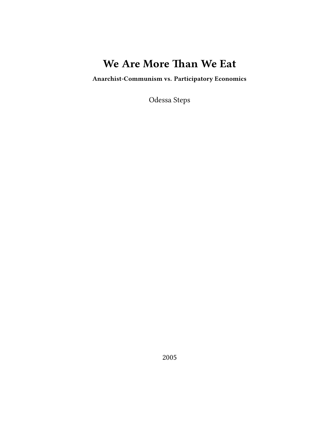# **We Are More Than We Eat**

**Anarchist-Communism vs. Participatory Economics**

Odessa Steps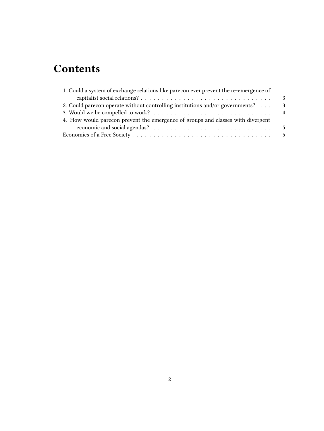# **Contents**

| 1. Could a system of exchange relations like parecon ever prevent the re-emergence of |     |
|---------------------------------------------------------------------------------------|-----|
|                                                                                       | - 3 |
| 2. Could parecon operate without controlling institutions and/or governments?         | -3  |
|                                                                                       |     |
| 4. How would parecon prevent the emergence of groups and classes with divergent       |     |
|                                                                                       |     |
|                                                                                       |     |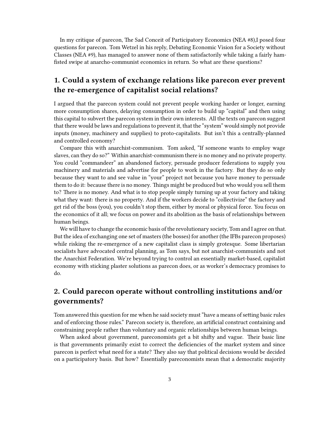In my critique of parecon, The Sad Conceit of Participatory Economics (NEA #8),I posed four questions for parecon. Tom Wetzel in his reply, Debating Economic Vision for a Society without Classes (NEA #9), has managed to answer none of them satisfactorily while taking a fairly hamfisted swipe at anarcho-communist economics in return. So what are these questions?

### <span id="page-2-0"></span>**1. Could a system of exchange relations like parecon ever prevent the re-emergence of capitalist social relations?**

I argued that the parecon system could not prevent people working harder or longer, earning more consumption shares, delaying consumption in order to build up "capital" and then using this capital to subvert the parecon system in their own interests. All the texts on parecon suggest that there would be laws and regulations to prevent it, that the "system" would simply not provide inputs (money, machinery and supplies) to proto-capitalists. But isn't this a centrally-planned and controlled economy?

Compare this with anarchist-communism. Tom asked, "If someone wants to employ wage slaves, can they do so?" Within anarchist-communism there is no money and no private property. You could "commandeer" an abandoned factory, persuade producer federations to supply you machinery and materials and advertise for people to work in the factory. But they do so only because they want to and see value in "your" project not because you have money to persuade them to do it: because there is no money. Things might be produced but who would you sell them to? There is no money. And what is to stop people simply turning up at your factory and taking what they want: there is no property. And if the workers decide to "collectivize" the factory and get rid of the boss (you), you couldn't stop them, either by moral or physical force. You focus on the economics of it all; we focus on power and its abolition as the basis of relationships between human beings.

We will have to change the economic basis of the revolutionary society, Tom and I agree on that. But the idea of exchanging one set of masters (the bosses) for another (the IFBs parecon proposes) while risking the re-emergence of a new capitalist class is simply grotesque. Some libertarian socialists have advocated central planning, as Tom says, but not anarchist-communists and not the Anarchist Federation. We're beyond trying to control an essentially market-based, capitalist economy with sticking plaster solutions as parecon does, or as worker's democracy promises to do.

### <span id="page-2-1"></span>**2. Could parecon operate without controlling institutions and/or governments?**

Tom answered this question for me when he said society must "have a means of setting basic rules and of enforcing those rules." Parecon society is, therefore, an artificial construct containing and constraining people rather than voluntary and organic relationships between human beings.

When asked about government, pareconomists get a bit shifty and vague. Their basic line is that governments primarily exist to correct the deficiencies of the market system and since parecon is perfect what need for a state? They also say that political decisions would be decided on a participatory basis. But how? Essentially pareconomists mean that a democratic majority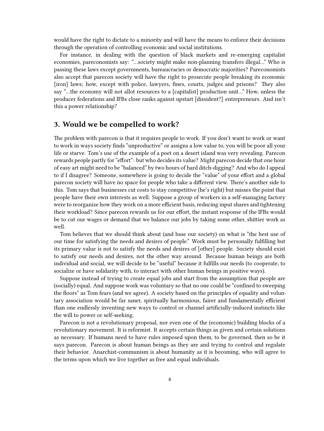would have the right to dictate to a minority and will have the means to enforce their decisions through the operation of controlling economic and social institutions.

For instance, in dealing with the question of black markets and re-emerging capitalist economies, pareconomists say: "…society might make non-planning transfers illegal…" Who is passing these laws except governments, bureaucracies or democratic majorities? Pareconomists also accept that parecon society will have the right to prosecute people breaking its economic [iron] laws; how, except with police, lawyers, fines, courts, judges and prisons? They also say "…the economy will not allot resources to a [capitalist] production unit…" How, unless the producer federations and IFBs close ranks against upstart [dissident?] entrepreneurs. And isn't this a power relationship?

#### <span id="page-3-0"></span>**3. Would we be compelled to work?**

The problem with parecon is that it requires people to work. If you don't want to work or want to work in ways society finds "unproductive" or assigns a low value to, you will be poor all your life or starve. Tom's use of the example of a poet on a desert island was very revealing. Parecon rewards people partly for "effort": but who decides its value? Might parecon decide that one hour of easy art might need to be "balanced" by two hours of hard ditch-digging? And who do I appeal to if I disagree? Someone, somewhere is going to decide the "value" of your effort and a global parecon society will have no space for people who take a different view. There's another side to this. Tom says that businesses cut costs to stay competitive (he's right) but misses the point that people have their own interests as well. Suppose a group of workers in a self-managing factory were to reorganize how they work on a more efficient basis, reducing input shares and tightening their workload? Since parecon rewards us for our effort, the instant response of the IFBs would be to cut our wages or demand that we balance our jobs by taking some other, shittier work as well.

Tom believes that we should think about (and base our society) on what is "the best use of our time for satisfying the needs and desires of people." Work must be personally fulfilling but its primary value is not to satisfy the needs and desires of [other] people. Society should exist to satisfy our needs and desires, not the other way around. Because human beings are both individual and social, we will decide to be "useful" because it fulfills our needs (to cooperate, to socialize or have solidarity with, to interact with other human beings in positive ways).

Suppose instead of trying to create equal jobs and start from the assumption that people are (socially) equal. And suppose work was voluntary so that no one could be "confined to sweeping the floors" as Tom fears (and we agree). A society based on the principles of equality and voluntary association would be far saner, spiritually harmonious, fairer and fundamentally efficient than one endlessly inventing new ways to control or channel artificially-induced instincts like the will to power or self-seeking.

Parecon is not a revolutionary proposal, nor even one of the (economic) building blocks of a revolutionary movement. It is reformist. It accepts certain things as given and certain solutions as necessary. If humans need to have rules imposed upon them, to be governed, then so be it says parecon. Parecon is about human beings as they are and trying to control and regulate their behavior. Anarchist-communism is about humanity as it is becoming, who will agree to the terms upon which we live together as free and equal individuals.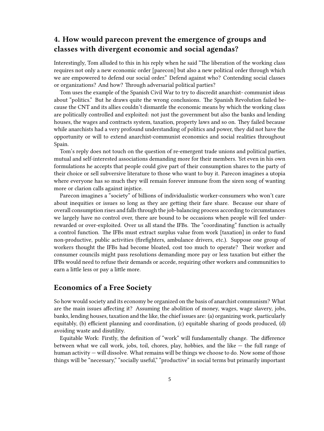#### <span id="page-4-0"></span>**4. How would parecon prevent the emergence of groups and classes with divergent economic and social agendas?**

Interestingly, Tom alluded to this in his reply when he said "The liberation of the working class requires not only a new economic order [parecon] but also a new political order through which we are empowered to defend our social order." Defend against who? Contending social classes or organizations? And how? Through adversarial political parties?

Tom uses the example of the Spanish Civil War to try to discredit anarchist- communist ideas about "politics." But he draws quite the wrong conclusions. The Spanish Revolution failed because the CNT and its allies couldn't dismantle the economic means by which the working class are politically controlled and exploited: not just the government but also the banks and lending houses, the wages and contracts system, taxation, property laws and so on. They failed because while anarchists had a very profound understanding of politics and power, they did not have the opportunity or will to extend anarchist-communist economics and social realities throughout Spain.

Tom's reply does not touch on the question of re-emergent trade unions and political parties, mutual and self-interested associations demanding more for their members. Yet even in his own formulations he accepts that people could give part of their consumption shares to the party of their choice or sell subversive literature to those who want to buy it. Parecon imagines a utopia where everyone has so much they will remain forever immune from the siren song of wanting more or clarion calls against injstice.

Parecon imagines a "society" of billions of individualistic worker-consumers who won't care about inequities or issues so long as they are getting their fare share. Because our share of overall consumption rises and falls through the job-balancing process according to circumstances we largely have no control over, there are bound to be occasions when people will feel underrewarded or over-exploited. Over us all stand the IFBs. The "coordinating" function is actually a control function. The IFBs must extract surplus value from work [taxation] in order to fund non-productive, public activities (firefighters, ambulance drivers, etc.). Suppose one group of workers thought the IFBs had become bloated, cost too much to operate? Their worker and consumer councils might pass resolutions demanding more pay or less taxation but either the IFBs would need to refuse their demands or accede, requiring other workers and communities to earn a little less or pay a little more.

#### <span id="page-4-1"></span>**Economics of a Free Society**

So how would society and its economy be organized on the basis of anarchist communism? What are the main issues affecting it? Assuming the abolition of money, wages, wage slavery, jobs, banks, lending houses, taxation and the like, the chief issues are: (a) organizing work, particularly equitably, (b) efficient planning and coordination, (c) equitable sharing of goods produced, (d) avoiding waste and disutility.

Equitable Work: Firstly, the definition of "work" will fundamentally change. The difference between what we call work, jobs, toil, chores, play, hobbies, and the like — the full range of human activity — will dissolve. What remains will be things we choose to do. Now some of those things will be "necessary," "socially useful," "productive" in social terms but primarily important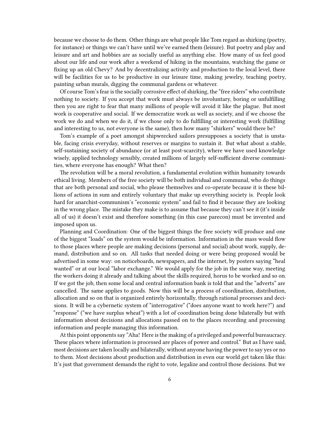because we choose to do them. Other things are what people like Tom regard as shirking (poetry, for instance) or things we can't have until we've earned them (leisure). But poetry and play and leisure and art and hobbies are as socially useful as anything else. How many of us feel good about our life and our work after a weekend of hiking in the mountains, watching the game or fixing up an old Chevy? And by decentralizing activity and production to the local level, there will be facilities for us to be productive in our leisure time, making jewelry, teaching poetry, painting urban murals, digging the communal gardens or whatever.

Of course Tom's fear is the socially corrosive effect of shirking, the "free riders" who contribute nothing to society. If you accept that work must always be involuntary, boring or unfulfilling then you are right to fear that many millions of people will avoid it like the plague. But most work is cooperative and social. If we democratize work as well as society, and if we choose the work we do and when we do it, if we chose only to do fulfilling or interesting work (fulfilling and interesting to us, not everyone is the same), then how many "shirkers" would there be?

Tom's example of a poet amongst shipwrecked sailors presupposes a society that is unstable, facing crisis everyday, without reserves or margins to sustain it. But what about a stable, self-sustaining society of abundance (or at least post-scarcity), where we have used knowledge wisely, applied technology sensibly, created millions of largely self-sufficient diverse communities, where everyone has enough? What then?

The revolution will be a moral revolution, a fundamental evolution within humanity towards ethical living. Members of the free society will be both individual and communal, who do things that are both personal and social, who please themselves and co-operate because it is these billions of actions in sum and entirely voluntary that make up everything society is. People look hard for anarchist-communism's "economic system" and fail to find it because they are looking in the wrong place. The mistake they make is to assume that because they can't see it (it's inside all of us) it doesn't exist and therefore something (in this case parecon) must be invented and imposed upon us.

Planning and Coordination: One of the biggest things the free society will produce and one of the biggest "loads" on the system would be information. Information in the mass would flow to those places where people are making decisions (personal and social) about work, supply, demand, distribution and so on. All tasks that needed doing or were being proposed would be advertised in some way: on noticeboards, newspapers, and the internet, by posters saying "heal wanted" or at our local "labor exchange." We would apply for the job in the same way, meeting the workers doing it already and talking about the skills required, horus to be worked and so on. If we got the job, then some local and central information bank is told that and the "adverts" are cancelled. The same applies to goods. Now this will be a process of coordination, distribution, allocation and so on that is organized entirely horizontally, through rational processes and decisions. It will be a cybernetic system of "interrogative" ("does anyone want to work here?") and "response" ("we have surplus wheat") with a lot of coordination being done bilaterally but with information about decisions and allocations passed on to the places recording and processing information and people managing this information.

At this point opponents say "Aha! Here is the making of a privileged and powerful bureaucracy. These places where information is processed are places of power and control." But as I have said, most decisions are taken locally and bilaterally, without anyone having the power to say yes or no to them. Most decisions about production and distribution in even our world get taken like this: It's just that government demands the right to vote, legalize and control those decisions. But we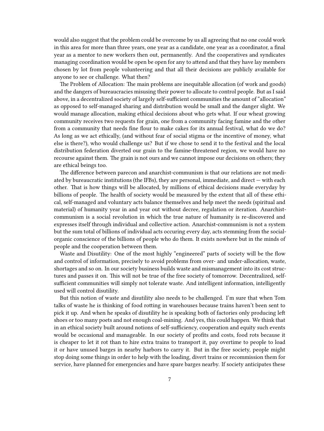would also suggest that the problem could be overcome by us all agreeing that no one could work in this area for more than three years, one year as a candidate, one year as a coordinator, a final year as a mentor to new workers then out, permanently. And the cooperatives and syndicates managing coordination would be open be open for any to attend and that they have lay members chosen by lot from people volunteering and that all their decisions are publicly available for anyone to see or challenge. What then?

The Problem of Allocation: The main problems are inequitable allocation (of work and goods) and the dangers of bureaucracies misusing their power to allocate to control people. But as I said above, in a decentralized society of largely self-sufficient communities the amount of "allocation" as opposed to self-managed sharing and distribution would be small and the danger slight. We would manage allocation, making ethical decisions about who gets what. If our wheat growing community receives two requests for grain, one from a community facing famine and the other from a community that needs fine flour to make cakes for its annual festival, what do we do? As long as we act ethically, (and without fear of social stigma or the incentive of money, what else is there?), who would challenge us? But if we chose to send it to the festival and the local distribution federation diverted our grain to the famine-threatened region, we would have no recourse against them. The grain is not ours and we cannot impose our decisions on others; they are ethical beings too.

The difference between parecon and anarchist-communism is that our relations are not mediated by bureaucratic institutions (the IFBs), they are personal, immediate, and direct — with each other. That is how things will be allocated, by millions of ethical decisions made everyday by billions of people. The health of society would be measured by the extent that all of these ethical, self-managed and voluntary acts balance themselves and help meet the needs (spiritual and material) of humanity year in and year out without decree, regulation or iteration. Anarchistcommunism is a social revolution in which the true nature of humanity is re-discovered and expresses itself through individual and collective action. Anarchist-communism is not a system but the sum total of billions of individual acts occuring every day, acts stemming from the socialorganic conscience of the billions of people who do them. It exists nowhere but in the minds of people and the cooperation between them.

Waste and Disutility: One of the most highly "engineered" parts of society will be the flow and control of information, precisely to avoid problems from over- and under-allocation, waste, shortages and so on. In our society business builds waste and mismanagement into its cost structures and passes it on. This will not be true of the free society of tomorrow. Decentralized, selfsufficient communities will simply not tolerate waste. And intelligent information, intelligently used will control disutility.

But this notion of waste and disutility also needs to be challenged. I'm sure that when Tom talks of waste he is thinking of food rotting in warehouses because trains haven't been sent to pick it up. And when he speaks of disutility he is speaking both of factories only producing left shoes or too many poets and not enough coal-mining. And yes, this could happen. We think that in an ethical society built around notions of self-sufficiency, cooperation and equity such events would be occasional and manageable. In our society of profits and costs, food rots because it is cheaper to let it rot than to hire extra trains to transport it, pay overtime to people to load it or have unused barges in nearby harbors to carry it. But in the free society, people might stop doing some things in order to help with the loading, divert trains or recommission them for service, have planned for emergencies and have spare barges nearby. If society anticipates these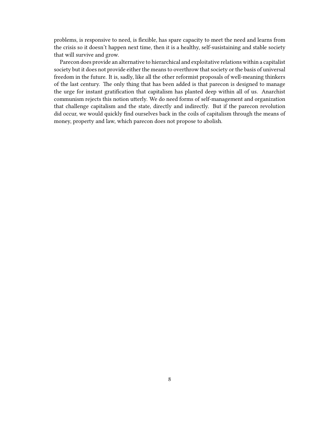problems, is responsive to need, is flexible, has spare capacity to meet the need and learns from the crisis so it doesn't happen next time, then it is a healthy, self-susistaining and stable society that will survive and grow.

Parecon does provide an alternative to hierarchical and exploitative relations within a capitalist society but it does not provide either the means to overthrow that society or the basis of universal freedom in the future. It is, sadly, like all the other reformist proposals of well-meaning thinkers of the last century. The only thing that has been added is that parecon is designed to manage the urge for instant gratification that capitalism has planted deep within all of us. Anarchist communism rejects this notion utterly. We do need forms of self-management and organization that challenge capitalism and the state, directly and indirectly. But if the parecon revolution did occur, we would quickly find ourselves back in the coils of capitalism through the means of money, property and law, which parecon does not propose to abolish.